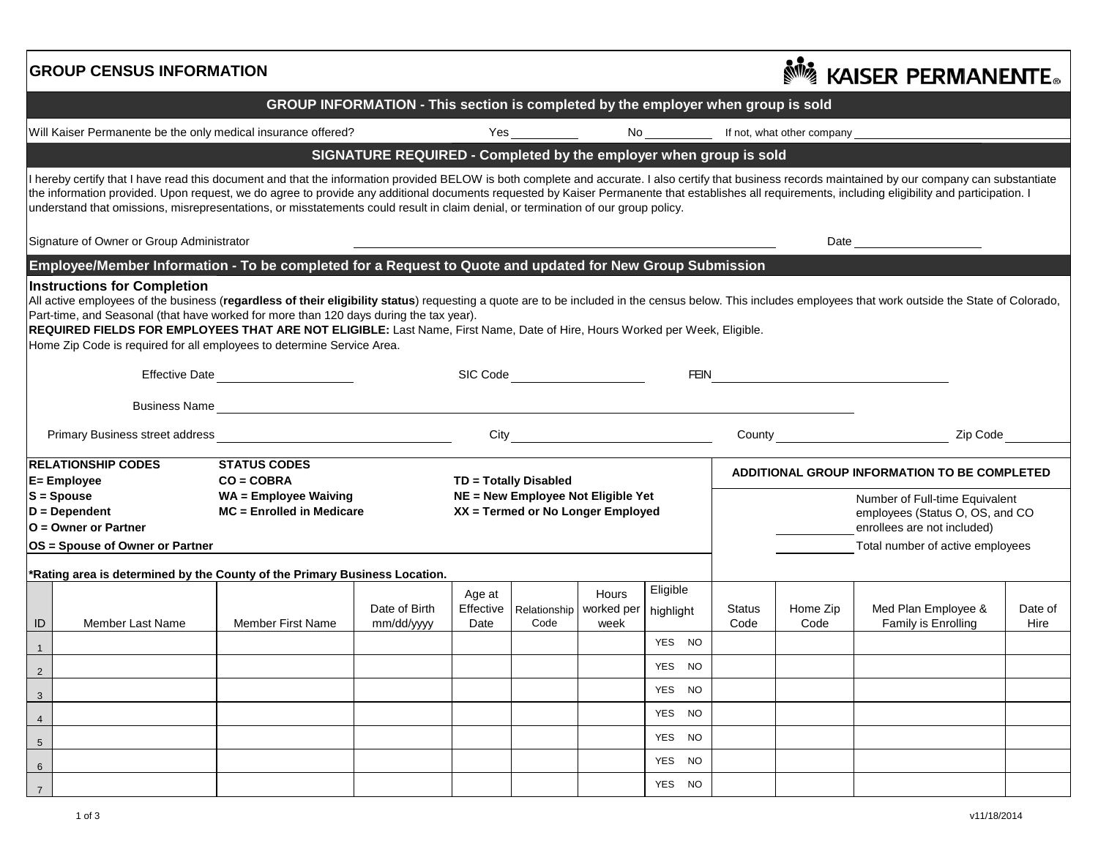|                                                                                                                                                                                                                                                                                                                                                                                                                                                                                                                                                     | <b>GROUP CENSUS INFORMATION</b> |                                                                                                                                                                                                                                                                                                                                                                                                                                                                                                                                                     |                                                                                                  |                             |      |                                            |                                                                                                                                                  | <sup></sup> Kaiser Permanente。 |                  |                                            |                 |  |  |
|-----------------------------------------------------------------------------------------------------------------------------------------------------------------------------------------------------------------------------------------------------------------------------------------------------------------------------------------------------------------------------------------------------------------------------------------------------------------------------------------------------------------------------------------------------|---------------------------------|-----------------------------------------------------------------------------------------------------------------------------------------------------------------------------------------------------------------------------------------------------------------------------------------------------------------------------------------------------------------------------------------------------------------------------------------------------------------------------------------------------------------------------------------------------|--------------------------------------------------------------------------------------------------|-----------------------------|------|--------------------------------------------|--------------------------------------------------------------------------------------------------------------------------------------------------|--------------------------------|------------------|--------------------------------------------|-----------------|--|--|
| GROUP INFORMATION - This section is completed by the employer when group is sold                                                                                                                                                                                                                                                                                                                                                                                                                                                                    |                                 |                                                                                                                                                                                                                                                                                                                                                                                                                                                                                                                                                     |                                                                                                  |                             |      |                                            |                                                                                                                                                  |                                |                  |                                            |                 |  |  |
| Will Kaiser Permanente be the only medical insurance offered?                                                                                                                                                                                                                                                                                                                                                                                                                                                                                       |                                 |                                                                                                                                                                                                                                                                                                                                                                                                                                                                                                                                                     |                                                                                                  |                             |      |                                            |                                                                                                                                                  |                                |                  |                                            |                 |  |  |
|                                                                                                                                                                                                                                                                                                                                                                                                                                                                                                                                                     |                                 |                                                                                                                                                                                                                                                                                                                                                                                                                                                                                                                                                     | SIGNATURE REQUIRED - Completed by the employer when group is sold                                |                             |      |                                            |                                                                                                                                                  |                                |                  |                                            |                 |  |  |
|                                                                                                                                                                                                                                                                                                                                                                                                                                                                                                                                                     |                                 | I hereby certify that I have read this document and that the information provided BELOW is both complete and accurate. I also certify that business records maintained by our company can substantiate<br>the information provided. Upon request, we do agree to provide any additional documents requested by Kaiser Permanente that establishes all requirements, including eligibility and participation. I<br>understand that omissions, misrepresentations, or misstatements could result in claim denial, or termination of our group policy. |                                                                                                  |                             |      |                                            |                                                                                                                                                  |                                |                  |                                            |                 |  |  |
| Signature of Owner or Group Administrator                                                                                                                                                                                                                                                                                                                                                                                                                                                                                                           |                                 |                                                                                                                                                                                                                                                                                                                                                                                                                                                                                                                                                     |                                                                                                  |                             |      |                                            |                                                                                                                                                  |                                |                  |                                            |                 |  |  |
| Employee/Member Information - To be completed for a Request to Quote and updated for New Group Submission                                                                                                                                                                                                                                                                                                                                                                                                                                           |                                 |                                                                                                                                                                                                                                                                                                                                                                                                                                                                                                                                                     |                                                                                                  |                             |      |                                            |                                                                                                                                                  |                                |                  |                                            |                 |  |  |
| All active employees of the business (regardless of their eligibility status) requesting a quote are to be included in the census below. This includes employees that work outside the State of Colorado,<br>Part-time, and Seasonal (that have worked for more than 120 days during the tax year).<br>REQUIRED FIELDS FOR EMPLOYEES THAT ARE NOT ELIGIBLE: Last Name, First Name, Date of Hire, Hours Worked per Week, Eligible.<br>Home Zip Code is required for all employees to determine Service Area.<br>Effective Date<br>FEIN <b>NATION</b> |                                 |                                                                                                                                                                                                                                                                                                                                                                                                                                                                                                                                                     |                                                                                                  |                             |      |                                            |                                                                                                                                                  |                                |                  |                                            |                 |  |  |
|                                                                                                                                                                                                                                                                                                                                                                                                                                                                                                                                                     |                                 |                                                                                                                                                                                                                                                                                                                                                                                                                                                                                                                                                     |                                                                                                  |                             |      |                                            |                                                                                                                                                  |                                |                  |                                            |                 |  |  |
|                                                                                                                                                                                                                                                                                                                                                                                                                                                                                                                                                     |                                 |                                                                                                                                                                                                                                                                                                                                                                                                                                                                                                                                                     |                                                                                                  |                             |      |                                            |                                                                                                                                                  |                                |                  |                                            |                 |  |  |
|                                                                                                                                                                                                                                                                                                                                                                                                                                                                                                                                                     |                                 |                                                                                                                                                                                                                                                                                                                                                                                                                                                                                                                                                     |                                                                                                  |                             |      |                                            |                                                                                                                                                  |                                |                  | County Zip Code                            |                 |  |  |
| <b>RELATIONSHIP CODES</b><br><b>STATUS CODES</b><br>E= Employee<br>$CO = COBRA$<br>$S = Spouse$<br><b>WA = Employee Waiving</b><br>$MC =$ Enrolled in Medicare<br>$D = Dependent$<br>O = Owner or Partner                                                                                                                                                                                                                                                                                                                                           |                                 |                                                                                                                                                                                                                                                                                                                                                                                                                                                                                                                                                     | TD = Totally Disabled<br>NE = New Employee Not Eligible Yet<br>XX = Termed or No Longer Employed |                             |      |                                            | ADDITIONAL GROUP INFORMATION TO BE COMPLETED<br>Number of Full-time Equivalent<br>employees (Status O, OS, and CO<br>enrollees are not included) |                                |                  |                                            |                 |  |  |
| OS = Spouse of Owner or Partner                                                                                                                                                                                                                                                                                                                                                                                                                                                                                                                     |                                 |                                                                                                                                                                                                                                                                                                                                                                                                                                                                                                                                                     |                                                                                                  |                             |      | Total number of active employees           |                                                                                                                                                  |                                |                  |                                            |                 |  |  |
|                                                                                                                                                                                                                                                                                                                                                                                                                                                                                                                                                     |                                 | *Rating area is determined by the County of the Primary Business Location.                                                                                                                                                                                                                                                                                                                                                                                                                                                                          |                                                                                                  |                             |      |                                            |                                                                                                                                                  |                                |                  |                                            |                 |  |  |
| ID                                                                                                                                                                                                                                                                                                                                                                                                                                                                                                                                                  | Member Last Name                | <b>Member First Name</b>                                                                                                                                                                                                                                                                                                                                                                                                                                                                                                                            | Date of Birth<br>mm/dd/yyyy                                                                      | Age at<br>Effective<br>Date | Code | Hours<br>Relationship   worked per<br>week | Eligible<br>highlight                                                                                                                            | <b>Status</b><br>Code          | Home Zip<br>Code | Med Plan Employee &<br>Family is Enrolling | Date of<br>Hire |  |  |
|                                                                                                                                                                                                                                                                                                                                                                                                                                                                                                                                                     |                                 |                                                                                                                                                                                                                                                                                                                                                                                                                                                                                                                                                     |                                                                                                  |                             |      |                                            | YES NO                                                                                                                                           |                                |                  |                                            |                 |  |  |
| $\overline{2}$                                                                                                                                                                                                                                                                                                                                                                                                                                                                                                                                      |                                 |                                                                                                                                                                                                                                                                                                                                                                                                                                                                                                                                                     |                                                                                                  |                             |      |                                            | YES NO                                                                                                                                           |                                |                  |                                            |                 |  |  |
| $\mathbf{3}$                                                                                                                                                                                                                                                                                                                                                                                                                                                                                                                                        |                                 |                                                                                                                                                                                                                                                                                                                                                                                                                                                                                                                                                     |                                                                                                  |                             |      |                                            | YES NO                                                                                                                                           |                                |                  |                                            |                 |  |  |
| $\overline{4}$                                                                                                                                                                                                                                                                                                                                                                                                                                                                                                                                      |                                 |                                                                                                                                                                                                                                                                                                                                                                                                                                                                                                                                                     |                                                                                                  |                             |      |                                            | YES NO                                                                                                                                           |                                |                  |                                            |                 |  |  |
| $5\overline{)}$                                                                                                                                                                                                                                                                                                                                                                                                                                                                                                                                     |                                 |                                                                                                                                                                                                                                                                                                                                                                                                                                                                                                                                                     |                                                                                                  |                             |      |                                            | YES NO                                                                                                                                           |                                |                  |                                            |                 |  |  |
| 6                                                                                                                                                                                                                                                                                                                                                                                                                                                                                                                                                   |                                 |                                                                                                                                                                                                                                                                                                                                                                                                                                                                                                                                                     |                                                                                                  |                             |      |                                            | YES NO                                                                                                                                           |                                |                  |                                            |                 |  |  |
|                                                                                                                                                                                                                                                                                                                                                                                                                                                                                                                                                     |                                 |                                                                                                                                                                                                                                                                                                                                                                                                                                                                                                                                                     |                                                                                                  |                             |      |                                            | YES NO                                                                                                                                           |                                |                  |                                            |                 |  |  |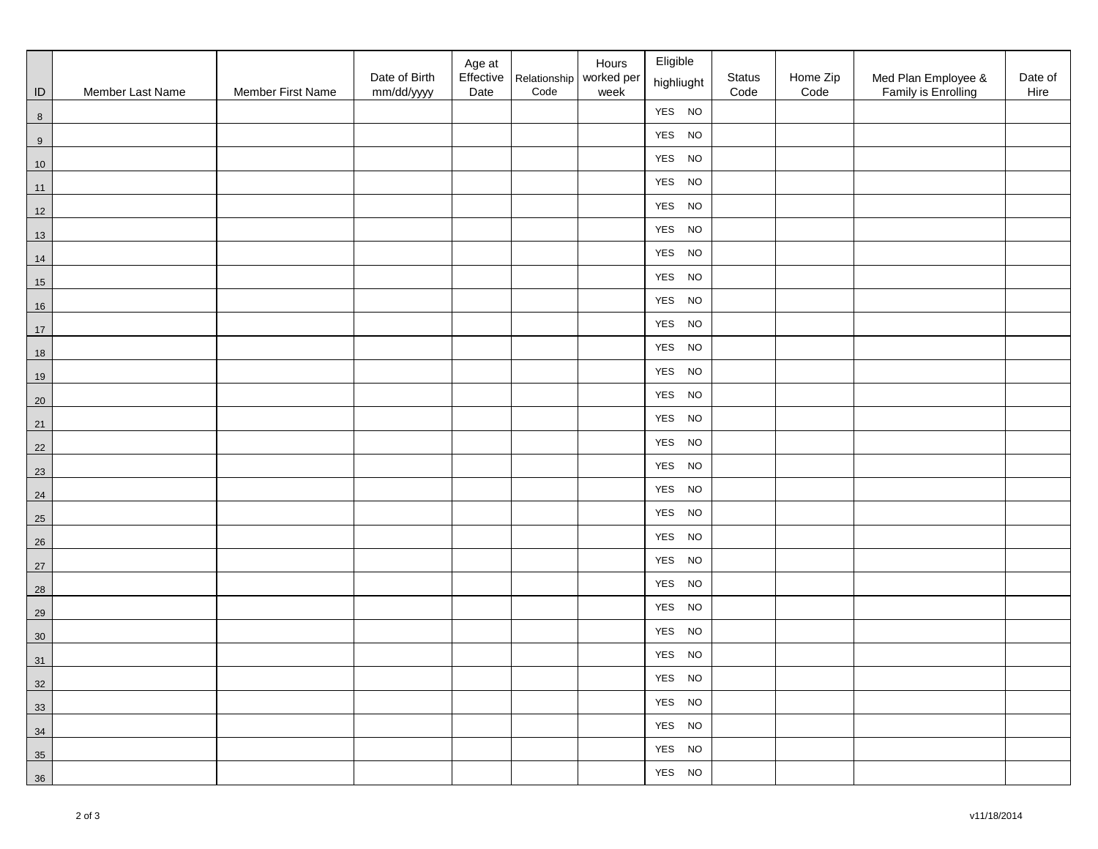|                         |                  |                   | Date of Birth | Age at<br>Effective | Relationship worked per | Hours | Eligible<br>highliught | Status | Home Zip | Med Plan Employee & | Date of |
|-------------------------|------------------|-------------------|---------------|---------------------|-------------------------|-------|------------------------|--------|----------|---------------------|---------|
| $\sf ID$                | Member Last Name | Member First Name | mm/dd/yyyy    | Date                | Code                    | week  | YES NO                 | Code   | Code     | Family is Enrolling | Hire    |
| $8\phantom{1}$<br>$\,9$ |                  |                   |               |                     |                         |       | YES NO                 |        |          |                     |         |
| 10                      |                  |                   |               |                     |                         |       | YES NO                 |        |          |                     |         |
| 11                      |                  |                   |               |                     |                         |       | YES NO                 |        |          |                     |         |
| $12$                    |                  |                   |               |                     |                         |       | YES NO                 |        |          |                     |         |
| 13                      |                  |                   |               |                     |                         |       | YES NO                 |        |          |                     |         |
| $14$                    |                  |                   |               |                     |                         |       | YES NO                 |        |          |                     |         |
| 15                      |                  |                   |               |                     |                         |       | YES NO                 |        |          |                     |         |
| 16                      |                  |                   |               |                     |                         |       | YES NO                 |        |          |                     |         |
| 17                      |                  |                   |               |                     |                         |       | YES NO                 |        |          |                     |         |
| 18                      |                  |                   |               |                     |                         |       | YES NO                 |        |          |                     |         |
| 19                      |                  |                   |               |                     |                         |       | YES NO                 |        |          |                     |         |
| $20\,$                  |                  |                   |               |                     |                         |       | YES NO                 |        |          |                     |         |
| 21                      |                  |                   |               |                     |                         |       | YES NO                 |        |          |                     |         |
| 22                      |                  |                   |               |                     |                         |       | YES NO                 |        |          |                     |         |
| 23                      |                  |                   |               |                     |                         |       | YES NO                 |        |          |                     |         |
| 24                      |                  |                   |               |                     |                         |       | YES NO                 |        |          |                     |         |
| 25                      |                  |                   |               |                     |                         |       | YES NO                 |        |          |                     |         |
| 26                      |                  |                   |               |                     |                         |       | YES NO                 |        |          |                     |         |
| 27                      |                  |                   |               |                     |                         |       | YES NO                 |        |          |                     |         |
| 28                      |                  |                   |               |                     |                         |       | YES NO                 |        |          |                     |         |
| 29                      |                  |                   |               |                     |                         |       | YES NO                 |        |          |                     |         |
| 30                      |                  |                   |               |                     |                         |       | YES NO                 |        |          |                     |         |
| 31                      |                  |                   |               |                     |                         |       | YES NO                 |        |          |                     |         |
| 32                      |                  |                   |               |                     |                         |       | YES NO                 |        |          |                     |         |
| 33                      |                  |                   |               |                     |                         |       | YES NO                 |        |          |                     |         |
| 34                      |                  |                   |               |                     |                         |       | YES NO                 |        |          |                     |         |
| 35                      |                  |                   |               |                     |                         |       | YES NO                 |        |          |                     |         |
| 36                      |                  |                   |               |                     |                         |       | YES NO                 |        |          |                     |         |